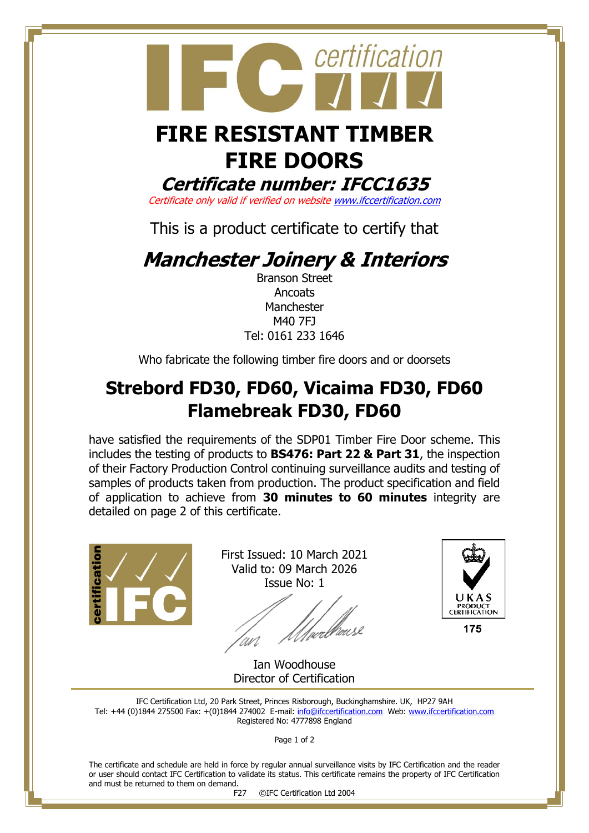

certification

**Certificate number: IFCC1635**

Certificate only valid if verified on websit[e www.ifccertification.com](http://www.ifccertification.com/)

This is a product certificate to certify that

## **Manchester Joinery & Interiors**

Branson Street **Ancoats** Manchester M40 7FJ Tel: 0161 233 1646

Who fabricate the following timber fire doors and or doorsets

## **Strebord FD30, FD60, Vicaima FD30, FD60 Flamebreak FD30, FD60**

have satisfied the requirements of the SDP01 Timber Fire Door scheme. This includes the testing of products to **BS476: Part 22 & Part 31**, the inspection of their Factory Production Control continuing surveillance audits and testing of samples of products taken from production. The product specification and field of application to achieve from **30 minutes to 60 minutes** integrity are detailed on page 2 of this certificate.



First Issued: 10 March 2021 Valid to: 09 March 2026 Issue No: 1

'<br>/wellhouse



Ian Woodhouse Director of Certification

IFC Certification Ltd, 20 Park Street, Princes Risborough, Buckinghamshire. UK, HP27 9AH Tel: +44 (0)1844 275500 Fax: +(0)1844 274002 E-mail[: info@ifccertification.com](mailto:info@ifccertification.com) Web: [www.ifccertification.com](http://www.ifccertification.com/) Registered No: 4777898 England

Page 1 of 2

The certificate and schedule are held in force by regular annual surveillance visits by IFC Certification and the reader or user should contact IFC Certification to validate its status. This certificate remains the property of IFC Certification and must be returned to them on demand.<br>F27

©IFC Certification Ltd 2004